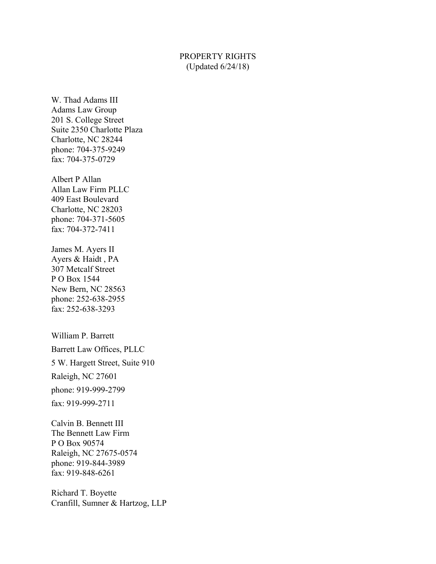## PROPERTY RIGHTS (Updated 6/24/18)

W. Thad Adams III Adams Law Group 201 S. College Street Suite 2350 Charlotte Plaza Charlotte, NC 28244 phone: 704-375-9249 fax: 704-375-0729

Albert P Allan Allan Law Firm PLLC 409 East Boulevard Charlotte, NC 28203 phone: 704-371-5605 fax: 704-372-7411

James M. Ayers II Ayers & Haidt , PA 307 Metcalf Street P O Box 1544 New Bern, NC 28563 phone: 252-638-2955 fax: 252-638-3293

William P. Barrett Barrett Law Offices, PLLC 5 W. Hargett Street, Suite 910 Raleigh, NC 27601 phone: 919-999-2799 fax: 919-999-2711

Calvin B. Bennett III The Bennett Law Firm P O Box 90574 Raleigh, NC 27675-0574 phone: 919-844-3989 fax: 919-848-6261

Richard T. Boyette Cranfill, Sumner & Hartzog, LLP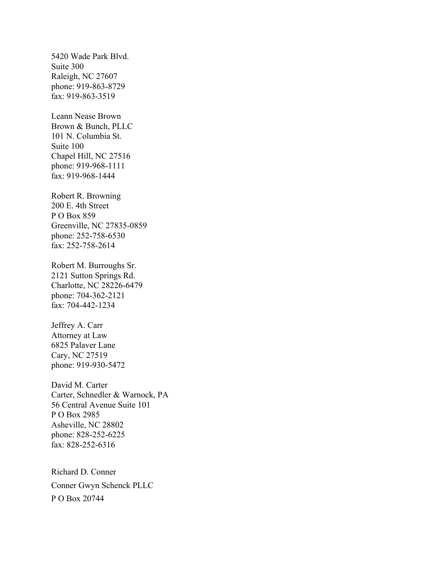5420 Wade Park Blvd. Suite 300 Raleigh, NC 27607 phone: 919-863-8729 fax: 919-863-3519

Leann Nease Brown Brown & Bunch, PLLC 101 N. Columbia St. Suite 100 Chapel Hill, NC 27516 phone: 919-968-1111 fax: 919-968-1444

Robert R. Browning 200 E. 4th Street P O Box 859 Greenville, NC 27835-0859 phone: 252-758-6530 fax: 252-758-2614

Robert M. Burroughs Sr. 2121 Sutton Springs Rd. Charlotte, NC 28226-6479 phone: 704-362-2121 fax: 704-442-1234

Jeffrey A. Carr Attorney at Law 6825 Palaver Lane Cary, NC 27519 phone: 919-930-5472

David M. Carter Carter, Schnedler & Warnock, PA 56 Central Avenue Suite 101 P O Box 2985 Asheville, NC 28802 phone: 828-252-6225 fax: 828-252-6316

Richard D. Conner Conner Gwyn Schenck PLLC P O Box 20744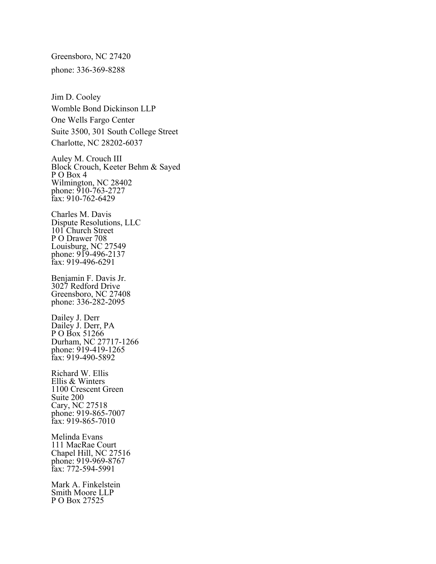Greensboro, NC 27420 phone: 336-369-8288

Jim D. Cooley Womble Bond Dickinson LLP One Wells Fargo Center Suite 3500, 301 South College Street Charlotte, NC 28202-6037

Auley M. Crouch III Block Crouch, Keeter Behm & Sayed P O Box 4 Wilmington, NC 28402 phone: 910-763-2727 fax: 910-762-6429

Charles M. Davis Dispute Resolutions, LLC 101 Church Street P O Drawer 708 Louisburg, NC 27549 phone: 919-496-2137 fax: 919-496-6291

Benjamin F. Davis Jr. 3027 Redford Drive Greensboro, NC 27408 phone: 336-282-2095

Dailey J. Derr Dailey J. Derr, PA P O Box 51266 Durham, NC 27717-1266 phone: 919-419-1265 fax: 919-490-5892

Richard W. Ellis Ellis & Winters 1100 Crescent Green Suite 200 Cary, NC 27518 phone: 919-865-7007 fax: 919-865-7010

Melinda Evans 111 MacRae Court Chapel Hill, NC 27516 phone: 919-969-8767 fax: 772-594-5991

Mark A. Finkelstein Smith Moore LLP P O Box 27525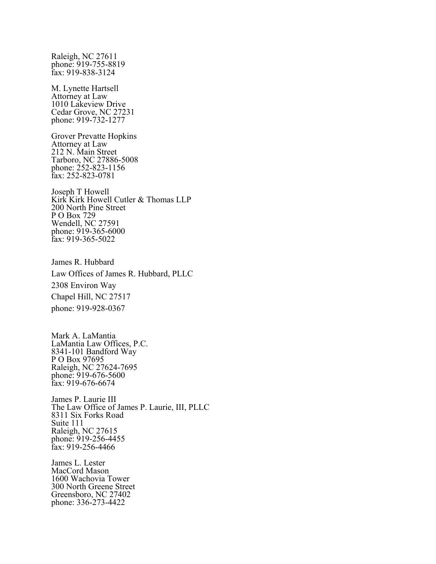Raleigh, NC 27611 phone: 919-755-8819 fax: 919-838-3124

M. Lynette Hartsell Attorney at Law 1010 Lakeview Drive Cedar Grove, NC 27231 phone: 919-732-1277

Grover Prevatte Hopkins Attorney at Law 212 N. Main Street Tarboro, NC 27886-5008 phone: 252-823-1156 fax: 252-823-0781

Joseph T Howell Kirk Kirk Howell Cutler & Thomas LLP 200 North Pine Street P O Box 729 Wendell, NC 27591 phone: 919-365-6000 fax: 919-365-5022

James R. Hubbard Law Offices of James R. Hubbard, PLLC 2308 Environ Way Chapel Hill, NC 27517 phone: 919-928-0367

Mark A. LaMantia LaMantia Law Offices, P.C. 8341-101 Bandford Way P O Box 97695 Raleigh, NC 27624-7695 phone: 919-676-5600 fax: 919-676-6674

James P. Laurie III The Law Office of James P. Laurie, III, PLLC 8311 Six Forks Road Suite 111 Raleigh, NC 27615 phone: 919-256-4455 fax: 919-256-4466

James L. Lester MacCord Mason 1600 Wachovia Tower 300 North Greene Street Greensboro, NC 27402 phone: 336-273-4422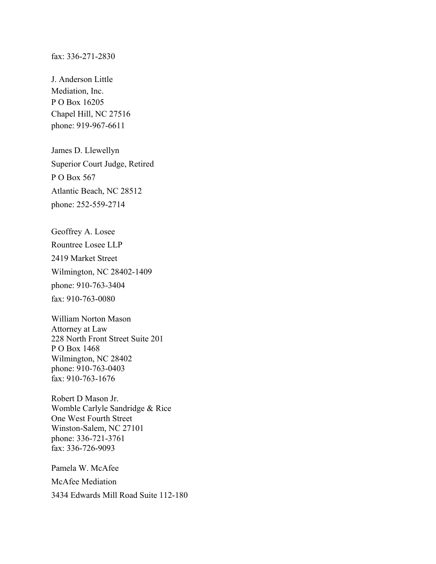## fax: 336-271-2830

J. Anderson Little Mediation, Inc. P O Box 16205 Chapel Hill, NC 27516 phone: 919-967-6611

James D. Llewellyn Superior Court Judge, Retired P O Box 567 Atlantic Beach, NC 28512 phone: 252-559-2714

Geoffrey A. Losee Rountree Losee LLP 2419 Market Street Wilmington, NC 28402-1409 phone: 910-763-3404 fax: 910-763-0080

William Norton Mason Attorney at Law 228 North Front Street Suite 201 P O Box 1468 Wilmington, NC 28402 phone: 910-763-0403 fax: 910-763-1676

Robert D Mason Jr. Womble Carlyle Sandridge & Rice One West Fourth Street Winston-Salem, NC 27101 phone: 336-721-3761 fax: 336-726-9093

Pamela W. McAfee McAfee Mediation 3434 Edwards Mill Road Suite 112-180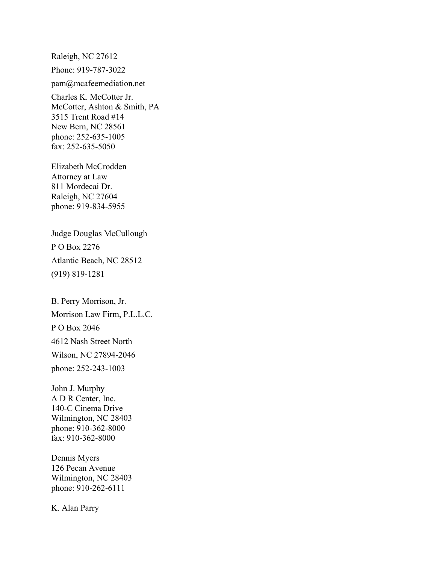Raleigh, NC 27612 Phone: 919-787-3022

pam@mcafeemediation.net

Charles K. McCotter Jr. McCotter, Ashton & Smith, PA 3515 Trent Road #14 New Bern, NC 28561 phone: 252-635-1005 fax: 252-635-5050

Elizabeth McCrodden Attorney at Law 811 Mordecai Dr. Raleigh, NC 27604 phone: 919-834-5955

Judge Douglas McCullough P O Box 2276 Atlantic Beach, NC 28512 (919) 819-1281

B. Perry Morrison, Jr. Morrison Law Firm, P.L.L.C. P O Box 2046 4612 Nash Street North Wilson, NC 27894-2046 phone: 252-243-1003

John J. Murphy A D R Center, Inc. 140-C Cinema Drive Wilmington, NC 28403 phone: 910-362-8000 fax: 910-362-8000

Dennis Myers 126 Pecan Avenue Wilmington, NC 28403 phone: 910-262-6111

K. Alan Parry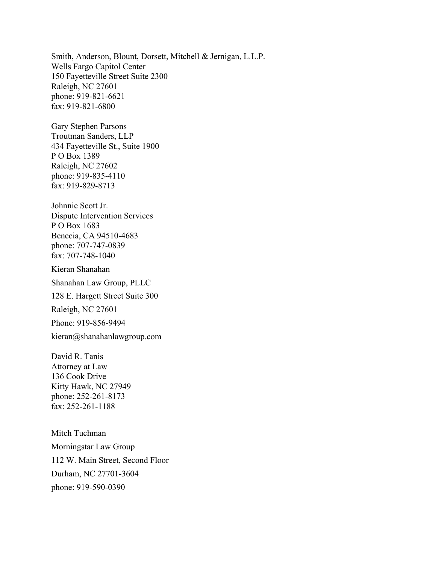Smith, Anderson, Blount, Dorsett, Mitchell & Jernigan, L.L.P. Wells Fargo Capitol Center 150 Fayetteville Street Suite 2300 Raleigh, NC 27601 phone: 919-821-6621 fax: 919-821-6800

Gary Stephen Parsons Troutman Sanders, LLP 434 Fayetteville St., Suite 1900 P O Box 1389 Raleigh, NC 27602 phone: 919-835-4110 fax: 919-829-8713

Johnnie Scott Jr. Dispute Intervention Services P O Box 1683 Benecia, CA 94510-4683 phone: 707-747-0839 fax: 707-748-1040

Kieran Shanahan

Shanahan Law Group, PLLC

128 E. Hargett Street Suite 300

Raleigh, NC 27601

Phone: 919-856-9494

kieran@shanahanlawgroup.com

David R. Tanis Attorney at Law 136 Cook Drive Kitty Hawk, NC 27949 phone: 252-261-8173 fax: 252-261-1188

Mitch Tuchman Morningstar Law Group 112 W. Main Street, Second Floor Durham, NC 27701-3604 phone: 919-590-0390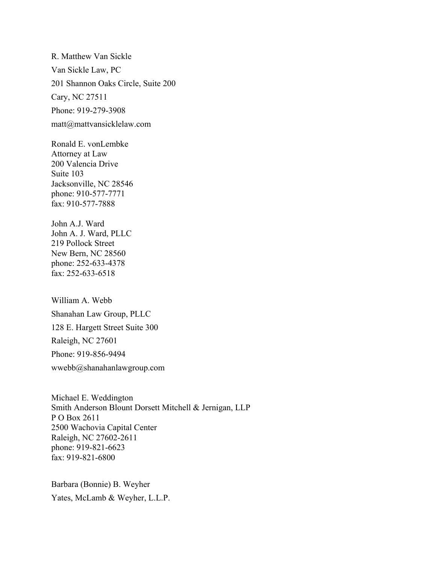R. Matthew Van Sickle Van Sickle Law, PC 201 Shannon Oaks Circle, Suite 200 Cary, NC 27511 Phone: 919-279-3908 matt@mattvansicklelaw.com

Ronald E. vonLembke Attorney at Law 200 Valencia Drive Suite 103 Jacksonville, NC 28546 phone: 910-577-7771 fax: 910-577-7888

John A.J. Ward John A. J. Ward, PLLC 219 Pollock Street New Bern, NC 28560 phone: 252-633-4378 fax: 252-633-6518

William A. Webb Shanahan Law Group, PLLC 128 E. Hargett Street Suite 300 Raleigh, NC 27601 Phone: 919-856-9494 wwebb@shanahanlawgroup.com

Michael E. Weddington Smith Anderson Blount Dorsett Mitchell & Jernigan, LLP P O Box 2611 2500 Wachovia Capital Center Raleigh, NC 27602-2611 phone: 919-821-6623 fax: 919-821-6800

Barbara (Bonnie) B. Weyher Yates, McLamb & Weyher, L.L.P.